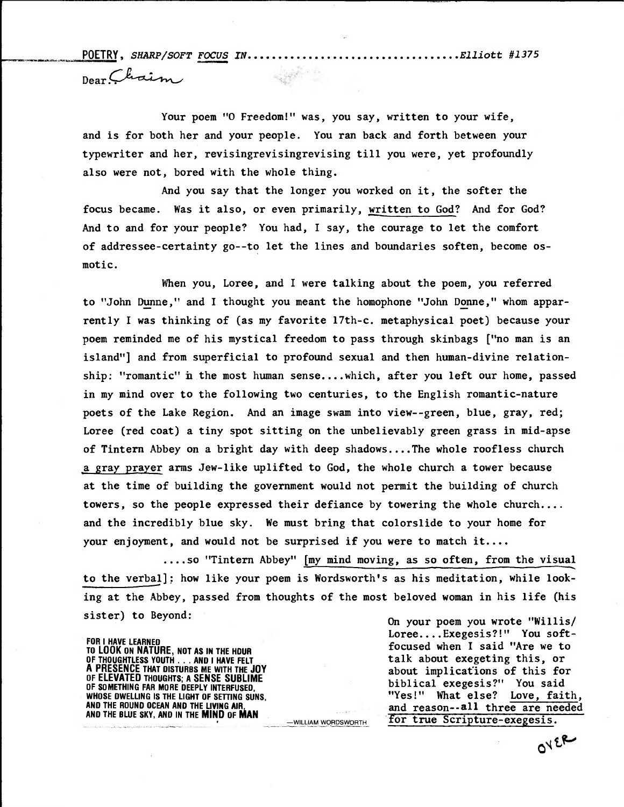**POETRY, SHARP/SOFT FOCUS IN Elliott #1375 Dear..** 

**Your poem "0 Freedom!" was, you say, written to your wife, and is for both her and your people. You ran back and forth between your typewriter and her, revisingrevisingrevising till you were, yet profoundly also were not, bored with the whole thing.** 

**And you say that the longer you worked on it, the softer the focus became. Was it also, or even primarily, written to God? And for God? And to and for your people? You had, I say, the courage to let the comfort of addressee-certainty go--to let the lines and boundaries soften, become osmotic.** 

**When you, Loree, and I were talking about the poem, you referred to "John Dunne," and I thought you meant the homophone "John Donne," whom apparrently I was thinking of (as my favorite 17th-c. metaphysical poet) because your**  poem reminded me of his mystical freedom to pass through skinbags ["no man is an island"] and from superficial to profound sexual and then human-divine relationship: "romantic" in the most human sense....which, after you left our home, passed **in my mind over to the following two centuries, to the English romantic-nature poets of the Lake Region. And an image swam into view--green, blue, gray, red; Loree (red coat) a tiny spot sitting on the unbelievably green grass in mid-apse of Tintern Abbey on a bright day with deep shadows....The whole roofless church a gray prayer arms Jew-like uplifted to God, the whole church a tower because at the time of building the government would not permit the building of church towers, so the people expressed their defiance by towering the whole church.... and the incredibly blue sky. We must bring that colorslide to your home for your enjoyment, and would not be surprised if you were to match it....** 

**....so "Tintern Abbey" [my mind moving, as so often, from the visual to the verbal]; how like your poem is Wordsworth's as his meditation, while looking at the Abbey, passed from thoughts of the most beloved woman in his life (his sister) to Beyond: On your poem you wrote "Willis/** 

**FOR I HAVE LEARNED TON I HAVE LEARNED**<br>TO LOOK ON NATURE, NOT AS IN THE HOUR<br>OF THOUGHTLESS YOUTH . . AND I HAVE FELT **talk** about exegeting this, or **OF THOUGHTLESS YOUTH . . . AND I HAVE FELT A PRESENCE THAT DISTURBS ME WITH THE JOY OF ELEVATED THOUGHTS; A SENSE SUBLIME**  OF ELEVATED INDUGNIS; A SENSE SUBLIME<br>OF SOMETHING FAR MORE DEEPLY INTERFUSED,<br>WHOSE DWELLING IS THE LIGHT OF SETTING SUNS, WHOSE TO ME "Yes!" What else? Love, fait **AND THE BLUE SKY, AND IN THE MIND OF MAN** 

**Loree....Exegesis?!" You soft**about implications of this for **WHOSE DWELLING IS THE LIGHT OF SETTING SUNS, "Yes!" What else? Love, faith,**  and reason--all three are needed -WILLIAM WORDSWORTH **for true Scripture-exegesis.** 

 $OY^{\epsilon R}$